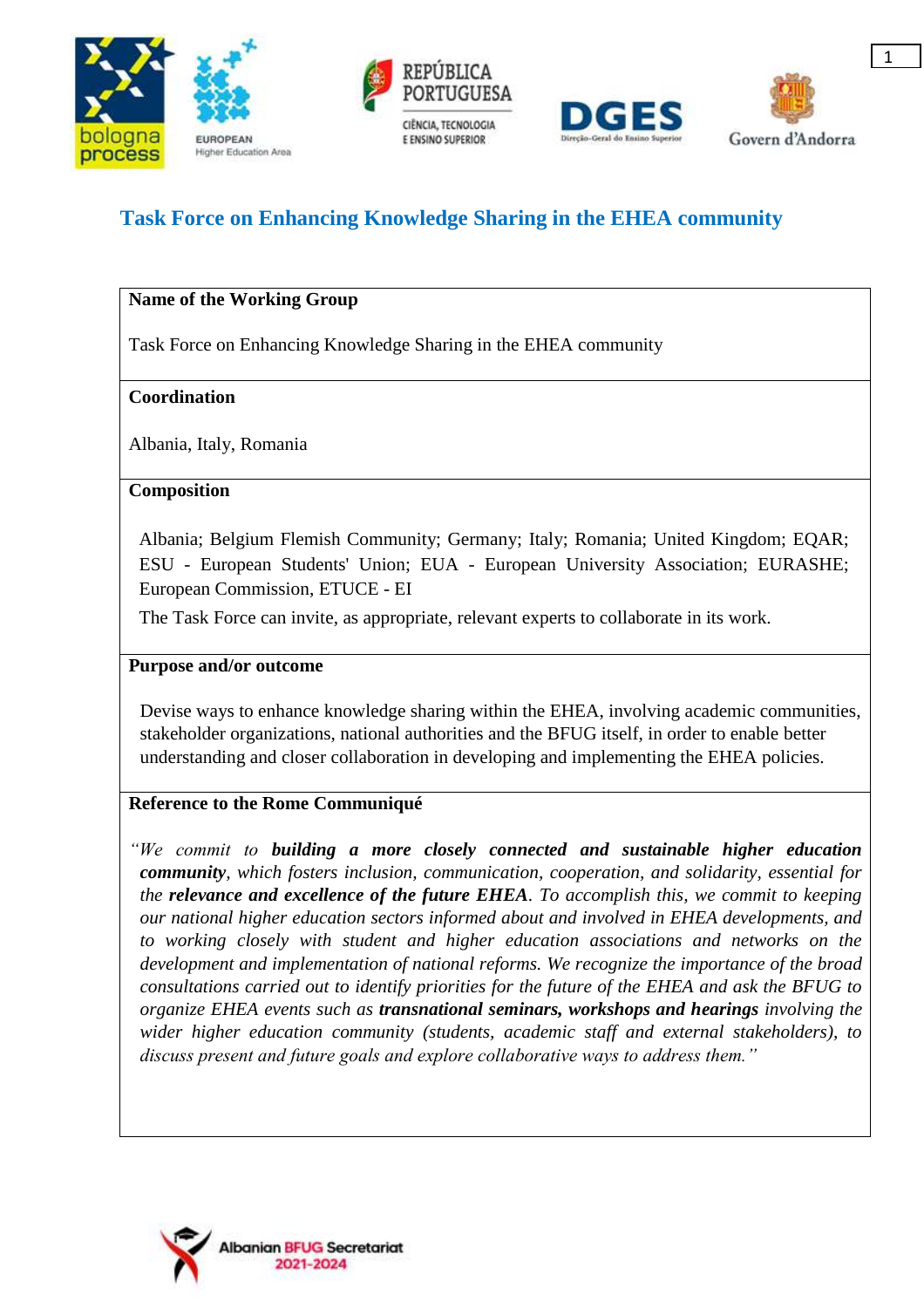





# **Task Force on Enhancing Knowledge Sharing in the EHEA community**

## **Name of the Working Group**

Task Force on Enhancing Knowledge Sharing in the EHEA community

## **Coordination**

Albania, Italy, Romania

#### **Composition**

Albania; Belgium Flemish Community; Germany; Italy; Romania; United Kingdom; EQAR; ESU - European Students' Union; EUA - European University Association; EURASHE; European Commission, ETUCE - EI

The Task Force can invite, as appropriate, relevant experts to collaborate in its work.

#### **Purpose and/or outcome**

Devise ways to enhance knowledge sharing within the EHEA, involving academic communities, stakeholder organizations, national authorities and the BFUG itself, in order to enable better understanding and closer collaboration in developing and implementing the EHEA policies.

## **Reference to the Rome Communiqué**

*"We commit to building a more closely connected and sustainable higher education community, which fosters inclusion, communication, cooperation, and solidarity, essential for the relevance and excellence of the future EHEA. To accomplish this, we commit to keeping our national higher education sectors informed about and involved in EHEA developments, and to working closely with student and higher education associations and networks on the development and implementation of national reforms. We recognize the importance of the broad consultations carried out to identify priorities for the future of the EHEA and ask the BFUG to organize EHEA events such as transnational seminars, workshops and hearings involving the wider higher education community (students, academic staff and external stakeholders), to discuss present and future goals and explore collaborative ways to address them."*